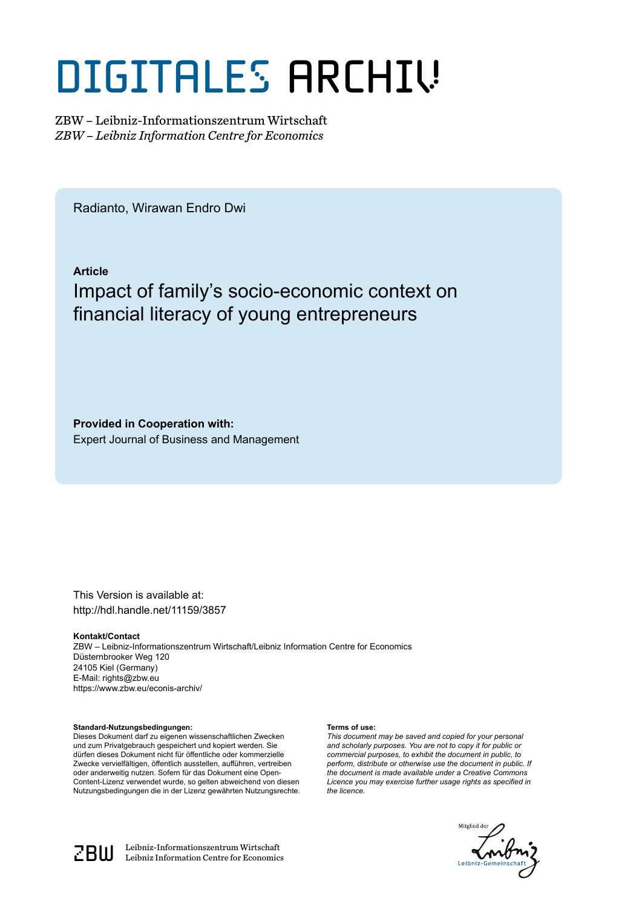# DIGITALES ARCHIV

ZBW – Leibniz-Informationszentrum Wirtschaft *ZBW – Leibniz Information Centre for Economics*

Radianto, Wirawan Endro Dwi

**Article** Impact of family's socio-economic context on financial literacy of young entrepreneurs

**Provided in Cooperation with:** Expert Journal of Business and Management

This Version is available at: http://hdl.handle.net/11159/3857

**Kontakt/Contact** ZBW – Leibniz-Informationszentrum Wirtschaft/Leibniz Information Centre for Economics Düsternbrooker Weg 120 24105 Kiel (Germany) E-Mail: rights@zbw.eu https://www.zbw.eu/econis-archiv/

**Standard-Nutzungsbedingungen:**

Dieses Dokument darf zu eigenen wissenschaftlichen Zwecken und zum Privatgebrauch gespeichert und kopiert werden. Sie dürfen dieses Dokument nicht für öffentliche oder kommerzielle Zwecke vervielfältigen, öffentlich ausstellen, aufführen, vertreiben oder anderweitig nutzen. Sofern für das Dokument eine Open-Content-Lizenz verwendet wurde, so gelten abweichend von diesen Nutzungsbedingungen die in der Lizenz gewährten Nutzungsrechte.

#### **Terms of use:**

*This document may be saved and copied for your personal and scholarly purposes. You are not to copy it for public or commercial purposes, to exhibit the document in public, to perform, distribute or otherwise use the document in public. If the document is made available under a Creative Commons Licence you may exercise further usage rights as specified in the licence.*





 $\mathbb{Z} \text{B} \text{U}$  Leibniz-Informationszentrum Wirtschaft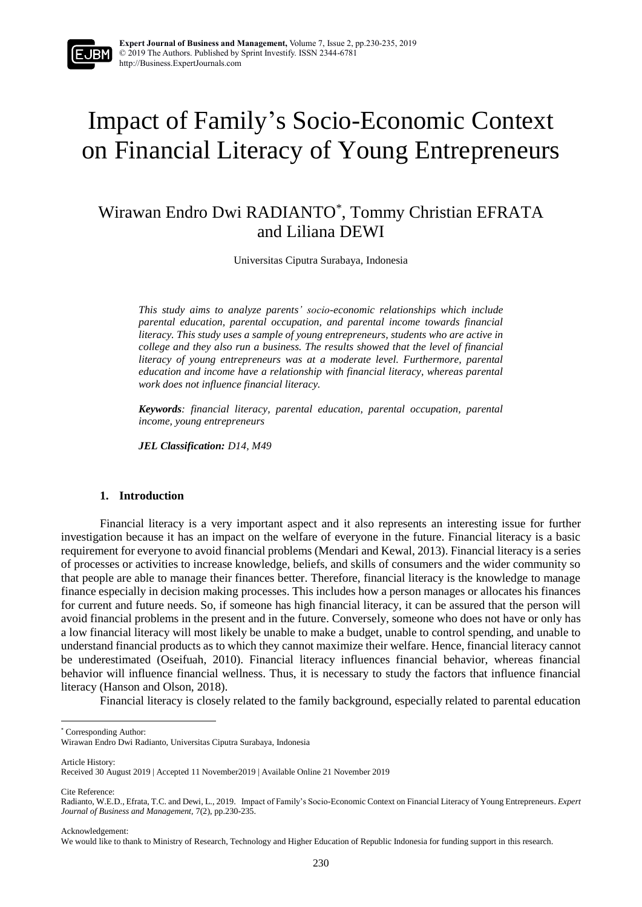

## Impact of Family's Socio-Economic Context on Financial Literacy of Young Entrepreneurs

### Wirawan Endro Dwi RADIANTO\* , Tommy Christian EFRATA and Liliana DEWI

Universitas Ciputra Surabaya, Indonesia

*This study aims to analyze parents' socio-economic relationships which include parental education, parental occupation, and parental income towards financial literacy. This study uses a sample of young entrepreneurs, students who are active in college and they also run a business. The results showed that the level of financial literacy of young entrepreneurs was at a moderate level. Furthermore, parental education and income have a relationship with financial literacy, whereas parental work does not influence financial literacy.*

*Keywords: financial literacy, parental education, parental occupation, parental income, young entrepreneurs* 

*JEL Classification: D14, M49*

#### **1. Introduction**

Financial literacy is a very important aspect and it also represents an interesting issue for further investigation because it has an impact on the welfare of everyone in the future. Financial literacy is a basic requirement for everyone to avoid financial problems (Mendari and Kewal, 2013). Financial literacy is a series of processes or activities to increase knowledge, beliefs, and skills of consumers and the wider community so that people are able to manage their finances better. Therefore, financial literacy is the knowledge to manage finance especially in decision making processes. This includes how a person manages or allocates his finances for current and future needs. So, if someone has high financial literacy, it can be assured that the person will avoid financial problems in the present and in the future. Conversely, someone who does not have or only has a low financial literacy will most likely be unable to make a budget, unable to control spending, and unable to understand financial products as to which they cannot maximize their welfare. Hence, financial literacy cannot be underestimated (Oseifuah, 2010). Financial literacy influences financial behavior, whereas financial behavior will influence financial wellness. Thus, it is necessary to study the factors that influence financial literacy (Hanson and Olson, 2018).

Financial literacy is closely related to the family background, especially related to parental education

Article History:

l

Cite Reference:

Acknowledgement:

<sup>\*</sup> Corresponding Author:

Wirawan Endro Dwi Radianto, Universitas Ciputra Surabaya, Indonesia

Received 30 August 2019 | Accepted 11 November2019 | Available Online 21 November 2019

Radianto, W.E.D., Efrata, T.C. and Dewi, L., 2019. Impact of Family's Socio-Economic Context on Financial Literacy of Young Entrepreneurs. *Expert Journal of Business and Management,* 7(2), pp.230-235.

We would like to thank to Ministry of Research, Technology and Higher Education of Republic Indonesia for funding support in this research.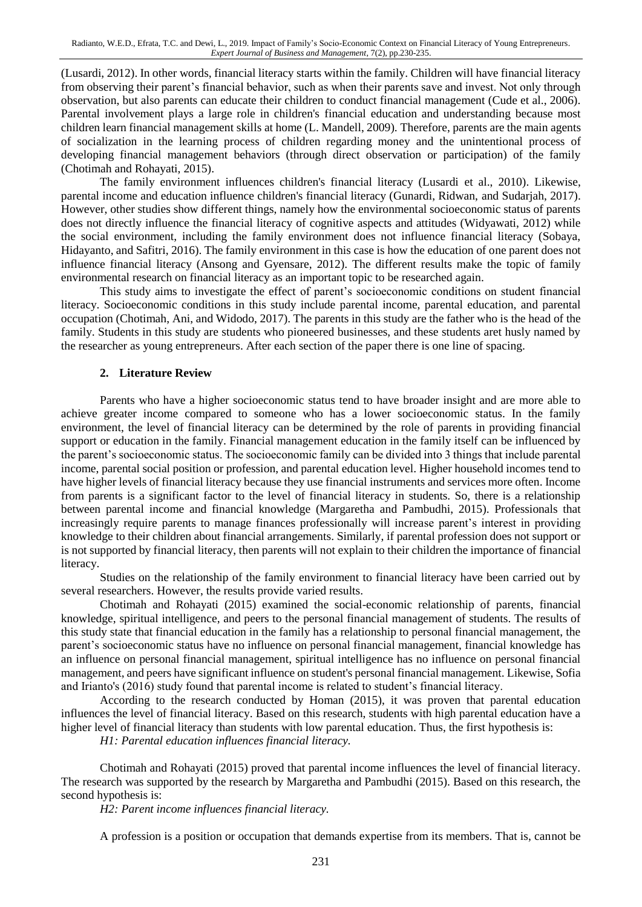(Lusardi, 2012). In other words, financial literacy starts within the family. Children will have financial literacy from observing their parent's financial behavior, such as when their parents save and invest. Not only through observation, but also parents can educate their children to conduct financial management (Cude et al., 2006). Parental involvement plays a large role in children's financial education and understanding because most children learn financial management skills at home (L. Mandell, 2009). Therefore, parents are the main agents of socialization in the learning process of children regarding money and the unintentional process of developing financial management behaviors (through direct observation or participation) of the family (Chotimah and Rohayati, 2015).

The family environment influences children's financial literacy (Lusardi et al., 2010). Likewise, parental income and education influence children's financial literacy (Gunardi, Ridwan, and Sudarjah, 2017). However, other studies show different things, namely how the environmental socioeconomic status of parents does not directly influence the financial literacy of cognitive aspects and attitudes (Widyawati, 2012) while the social environment, including the family environment does not influence financial literacy (Sobaya, Hidayanto, and Safitri, 2016). The family environment in this case is how the education of one parent does not influence financial literacy (Ansong and Gyensare, 2012). The different results make the topic of family environmental research on financial literacy as an important topic to be researched again.

This study aims to investigate the effect of parent's socioeconomic conditions on student financial literacy. Socioeconomic conditions in this study include parental income, parental education, and parental occupation (Chotimah, Ani, and Widodo, 2017). The parents in this study are the father who is the head of the family. Students in this study are students who pioneered businesses, and these students aret husly named by the researcher as young entrepreneurs. After each section of the paper there is one line of spacing.

#### **2. Literature Review**

Parents who have a higher socioeconomic status tend to have broader insight and are more able to achieve greater income compared to someone who has a lower socioeconomic status. In the family environment, the level of financial literacy can be determined by the role of parents in providing financial support or education in the family. Financial management education in the family itself can be influenced by the parent's socioeconomic status. The socioeconomic family can be divided into 3 things that include parental income, parental social position or profession, and parental education level. Higher household incomes tend to have higher levels of financial literacy because they use financial instruments and services more often. Income from parents is a significant factor to the level of financial literacy in students. So, there is a relationship between parental income and financial knowledge (Margaretha and Pambudhi, 2015). Professionals that increasingly require parents to manage finances professionally will increase parent's interest in providing knowledge to their children about financial arrangements. Similarly, if parental profession does not support or is not supported by financial literacy, then parents will not explain to their children the importance of financial literacy.

Studies on the relationship of the family environment to financial literacy have been carried out by several researchers. However, the results provide varied results.

Chotimah and Rohayati (2015) examined the social-economic relationship of parents, financial knowledge, spiritual intelligence, and peers to the personal financial management of students. The results of this study state that financial education in the family has a relationship to personal financial management, the parent's socioeconomic status have no influence on personal financial management, financial knowledge has an influence on personal financial management, spiritual intelligence has no influence on personal financial management, and peers have significant influence on student's personal financial management. Likewise, Sofia and Irianto's (2016) study found that parental income is related to student's financial literacy.

According to the research conducted by Homan (2015), it was proven that parental education influences the level of financial literacy. Based on this research, students with high parental education have a higher level of financial literacy than students with low parental education. Thus, the first hypothesis is:

*H1: Parental education influences financial literacy.*

Chotimah and Rohayati (2015) proved that parental income influences the level of financial literacy. The research was supported by the research by Margaretha and Pambudhi (2015). Based on this research, the second hypothesis is:

*H2: Parent income influences financial literacy.*

A profession is a position or occupation that demands expertise from its members. That is, cannot be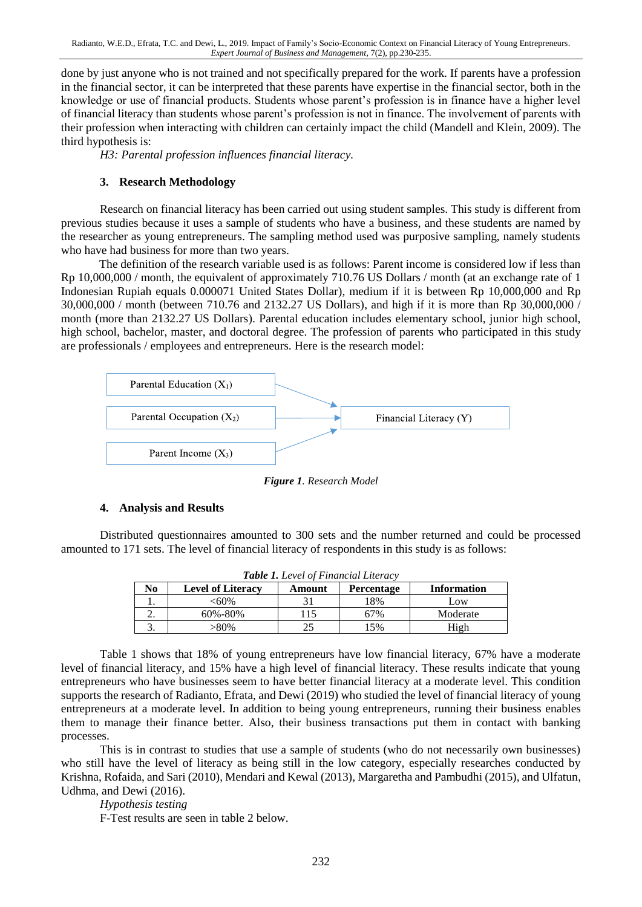done by just anyone who is not trained and not specifically prepared for the work. If parents have a profession in the financial sector, it can be interpreted that these parents have expertise in the financial sector, both in the knowledge or use of financial products. Students whose parent's profession is in finance have a higher level of financial literacy than students whose parent's profession is not in finance. The involvement of parents with their profession when interacting with children can certainly impact the child (Mandell and Klein, 2009). The third hypothesis is:

*H3: Parental profession influences financial literacy.*

#### **3. Research Methodology**

Research on financial literacy has been carried out using student samples. This study is different from previous studies because it uses a sample of students who have a business, and these students are named by the researcher as young entrepreneurs. The sampling method used was purposive sampling, namely students who have had business for more than two years.

The definition of the research variable used is as follows: Parent income is considered low if less than Rp 10,000,000 / month, the equivalent of approximately 710.76 US Dollars / month (at an exchange rate of 1 Indonesian Rupiah equals 0.000071 United States Dollar), medium if it is between Rp 10,000,000 and Rp 30,000,000 / month (between 710.76 and 2132.27 US Dollars), and high if it is more than Rp 30,000,000 / month (more than 2132.27 US Dollars). Parental education includes elementary school, junior high school, high school, bachelor, master, and doctoral degree. The profession of parents who participated in this study are professionals / employees and entrepreneurs. Here is the research model:



*Figure 1. Research Model*

#### **4. Analysis and Results**

Distributed questionnaires amounted to 300 sets and the number returned and could be processed amounted to 171 sets. The level of financial literacy of respondents in this study is as follows:

| <b>Table 1.</b> Level of Financial Literacy |                          |        |            |                    |  |  |  |
|---------------------------------------------|--------------------------|--------|------------|--------------------|--|--|--|
| No                                          | <b>Level of Literacy</b> | Amount | Percentage | <b>Information</b> |  |  |  |
|                                             | <60%                     |        | 18%        | Low                |  |  |  |
|                                             | 60%-80%                  | 115    | 67%        | Moderate           |  |  |  |
|                                             | >80%                     |        | 5%         | High               |  |  |  |

Table 1 shows that 18% of young entrepreneurs have low financial literacy, 67% have a moderate level of financial literacy, and 15% have a high level of financial literacy. These results indicate that young entrepreneurs who have businesses seem to have better financial literacy at a moderate level. This condition supports the research of Radianto, Efrata, and Dewi (2019) who studied the level of financial literacy of young entrepreneurs at a moderate level. In addition to being young entrepreneurs, running their business enables them to manage their finance better. Also, their business transactions put them in contact with banking processes.

This is in contrast to studies that use a sample of students (who do not necessarily own businesses) who still have the level of literacy as being still in the low category, especially researches conducted by Krishna, Rofaida, and Sari (2010), Mendari and Kewal (2013), Margaretha and Pambudhi (2015), and Ulfatun, Udhma, and Dewi (2016).

*Hypothesis testing*

F-Test results are seen in table 2 below.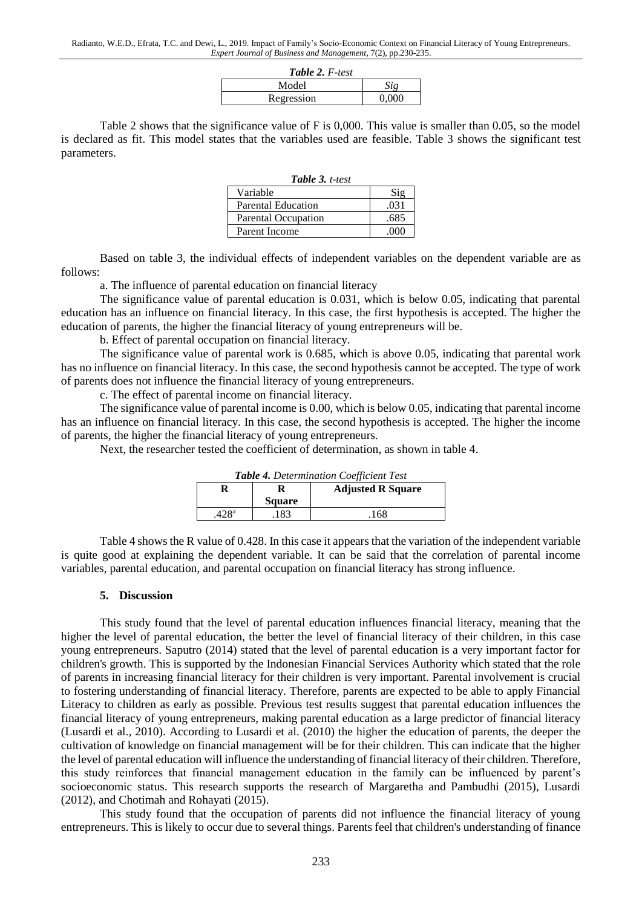| <b>Table 2. F-test</b> |       |  |  |  |
|------------------------|-------|--|--|--|
| Model                  | Siø   |  |  |  |
| Regression             | 0.000 |  |  |  |

Table 2 shows that the significance value of F is 0,000. This value is smaller than 0.05, so the model is declared as fit. This model states that the variables used are feasible. Table 3 shows the significant test parameters.

| <b>Table 3. t-test</b>     |        |  |  |
|----------------------------|--------|--|--|
| Variable                   | $S$ io |  |  |
| <b>Parental Education</b>  | .031   |  |  |
| <b>Parental Occupation</b> | .685   |  |  |
| Parent Income              | (1)    |  |  |

Based on table 3, the individual effects of independent variables on the dependent variable are as follows:

a. The influence of parental education on financial literacy

The significance value of parental education is 0.031, which is below 0.05, indicating that parental education has an influence on financial literacy. In this case, the first hypothesis is accepted. The higher the education of parents, the higher the financial literacy of young entrepreneurs will be.

b. Effect of parental occupation on financial literacy.

The significance value of parental work is 0.685, which is above 0.05, indicating that parental work has no influence on financial literacy. In this case, the second hypothesis cannot be accepted. The type of work of parents does not influence the financial literacy of young entrepreneurs.

c. The effect of parental income on financial literacy.

The significance value of parental income is 0.00, which is below 0.05, indicating that parental income has an influence on financial literacy. In this case, the second hypothesis is accepted. The higher the income of parents, the higher the financial literacy of young entrepreneurs.

Next, the researcher tested the coefficient of determination, as shown in table 4.

| <b>Table 4.</b> Determination Coefficient Test |               |                          |  |  |  |
|------------------------------------------------|---------------|--------------------------|--|--|--|
|                                                |               | <b>Adjusted R Square</b> |  |  |  |
|                                                | <b>Square</b> |                          |  |  |  |
| 428 <sup>a</sup>                               | 183           | 168                      |  |  |  |

*Table 4. Determination Coefficient Test*

Table 4 shows the R value of 0.428. In this case it appears that the variation of the independent variable is quite good at explaining the dependent variable. It can be said that the correlation of parental income variables, parental education, and parental occupation on financial literacy has strong influence.

#### **5. Discussion**

This study found that the level of parental education influences financial literacy, meaning that the higher the level of parental education, the better the level of financial literacy of their children, in this case young entrepreneurs. Saputro (2014) stated that the level of parental education is a very important factor for children's growth. This is supported by the Indonesian Financial Services Authority which stated that the role of parents in increasing financial literacy for their children is very important. Parental involvement is crucial to fostering understanding of financial literacy. Therefore, parents are expected to be able to apply Financial Literacy to children as early as possible. Previous test results suggest that parental education influences the financial literacy of young entrepreneurs, making parental education as a large predictor of financial literacy (Lusardi et al., 2010). According to Lusardi et al. (2010) the higher the education of parents, the deeper the cultivation of knowledge on financial management will be for their children. This can indicate that the higher the level of parental education will influence the understanding of financial literacy of their children. Therefore, this study reinforces that financial management education in the family can be influenced by parent's socioeconomic status. This research supports the research of Margaretha and Pambudhi (2015), Lusardi (2012), and Chotimah and Rohayati (2015).

This study found that the occupation of parents did not influence the financial literacy of young entrepreneurs. This is likely to occur due to several things. Parents feel that children's understanding of finance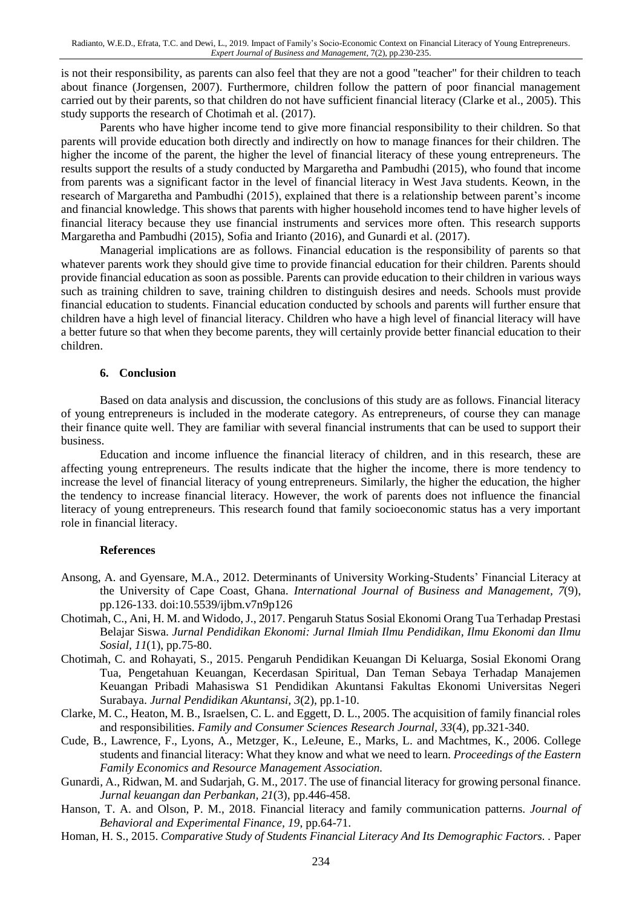is not their responsibility, as parents can also feel that they are not a good "teacher" for their children to teach about finance (Jorgensen, 2007). Furthermore, children follow the pattern of poor financial management carried out by their parents, so that children do not have sufficient financial literacy (Clarke et al., 2005). This study supports the research of Chotimah et al. (2017).

Parents who have higher income tend to give more financial responsibility to their children. So that parents will provide education both directly and indirectly on how to manage finances for their children. The higher the income of the parent, the higher the level of financial literacy of these young entrepreneurs. The results support the results of a study conducted by Margaretha and Pambudhi (2015), who found that income from parents was a significant factor in the level of financial literacy in West Java students. Keown, in the research of Margaretha and Pambudhi (2015), explained that there is a relationship between parent's income and financial knowledge. This shows that parents with higher household incomes tend to have higher levels of financial literacy because they use financial instruments and services more often. This research supports Margaretha and Pambudhi (2015), Sofia and Irianto (2016), and Gunardi et al. (2017).

Managerial implications are as follows. Financial education is the responsibility of parents so that whatever parents work they should give time to provide financial education for their children. Parents should provide financial education as soon as possible. Parents can provide education to their children in various ways such as training children to save, training children to distinguish desires and needs. Schools must provide financial education to students. Financial education conducted by schools and parents will further ensure that children have a high level of financial literacy. Children who have a high level of financial literacy will have a better future so that when they become parents, they will certainly provide better financial education to their children.

#### **6. Conclusion**

Based on data analysis and discussion, the conclusions of this study are as follows. Financial literacy of young entrepreneurs is included in the moderate category. As entrepreneurs, of course they can manage their finance quite well. They are familiar with several financial instruments that can be used to support their business.

Education and income influence the financial literacy of children, and in this research, these are affecting young entrepreneurs. The results indicate that the higher the income, there is more tendency to increase the level of financial literacy of young entrepreneurs. Similarly, the higher the education, the higher the tendency to increase financial literacy. However, the work of parents does not influence the financial literacy of young entrepreneurs. This research found that family socioeconomic status has a very important role in financial literacy.

#### **References**

- Ansong, A. and Gyensare, M.A., 2012. Determinants of University Working-Students' Financial Literacy at the University of Cape Coast, Ghana. *International Journal of Business and Management, 7*(9), pp.126-133. doi:10.5539/ijbm.v7n9p126
- Chotimah, C., Ani, H. M. and Widodo, J., 2017. Pengaruh Status Sosial Ekonomi Orang Tua Terhadap Prestasi Belajar Siswa. *Jurnal Pendidikan Ekonomi: Jurnal Ilmiah Ilmu Pendidikan, Ilmu Ekonomi dan Ilmu Sosial, 11*(1), pp.75-80.
- Chotimah, C. and Rohayati, S., 2015. Pengaruh Pendidikan Keuangan Di Keluarga, Sosial Ekonomi Orang Tua, Pengetahuan Keuangan, Kecerdasan Spiritual, Dan Teman Sebaya Terhadap Manajemen Keuangan Pribadi Mahasiswa S1 Pendidikan Akuntansi Fakultas Ekonomi Universitas Negeri Surabaya. *Jurnal Pendidikan Akuntansi, 3*(2), pp.1-10.
- Clarke, M. C., Heaton, M. B., Israelsen, C. L. and Eggett, D. L., 2005. The acquisition of family financial roles and responsibilities. *Family and Consumer Sciences Research Journal, 33*(4), pp.321-340.
- Cude, B., Lawrence, F., Lyons, A., Metzger, K., LeJeune, E., Marks, L. and Machtmes, K., 2006. College students and financial literacy: What they know and what we need to learn*. Proceedings of the Eastern Family Economics and Resource Management Association.*
- Gunardi, A., Ridwan, M. and Sudarjah, G. M., 2017. The use of financial literacy for growing personal finance. *Jurnal keuangan dan Perbankan, 21*(3), pp.446-458.
- Hanson, T. A. and Olson, P. M., 2018. Financial literacy and family communication patterns. *Journal of Behavioral and Experimental Finance, 19*, pp.64-71.
- Homan, H. S., 2015. *Comparative Study of Students Financial Literacy And Its Demographic Factors. .* Paper